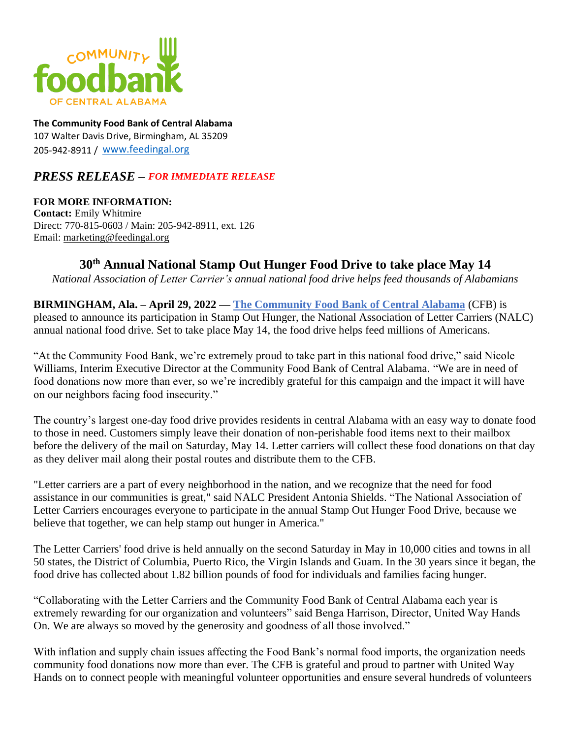

**The Community Food Bank of Central Alabama** 107 Walter Davis Drive, Birmingham, AL 35209 205-942-8911 / [www.feedingal.org](http://www.feedingal.org/) 

## *PRESS RELEASE – FOR IMMEDIATE RELEASE*

**FOR MORE INFORMATION: Contact:** Emily Whitmire Direct: 770-815-0603 / Main: 205-942-8911, ext. 126 Email: [marketing@feedingal.org](mailto:marketing@feedingal.org)

## **30th Annual National Stamp Out Hunger Food Drive to take place May 14**

*National Association of Letter Carrier's annual national food drive helps feed thousands of Alabamians*

**BIRMINGHAM, Ala. – April 29, 2022 — [The Community Food Bank of Central Alabama](https://www.feedingal.org/)** (CFB) is pleased to announce its participation in Stamp Out Hunger, the National Association of Letter Carriers (NALC) annual national food drive. Set to take place May 14, the food drive helps feed millions of Americans.

"At the Community Food Bank, we're extremely proud to take part in this national food drive," said Nicole Williams, Interim Executive Director at the Community Food Bank of Central Alabama. "We are in need of food donations now more than ever, so we're incredibly grateful for this campaign and the impact it will have on our neighbors facing food insecurity."

The country's largest one-day food drive provides residents in central Alabama with an easy way to donate food to those in need. Customers simply leave their donation of non-perishable food items next to their mailbox before the delivery of the mail on Saturday, May 14. Letter carriers will collect these food donations on that day as they deliver mail along their postal routes and distribute them to the CFB.

"Letter carriers are a part of every neighborhood in the nation, and we recognize that the need for food assistance in our communities is great," said NALC President Antonia Shields. "The National Association of Letter Carriers encourages everyone to participate in the annual Stamp Out Hunger Food Drive, because we believe that together, we can help stamp out hunger in America."

The Letter Carriers' food drive is held annually on the second Saturday in May in 10,000 cities and towns in all 50 states, the District of Columbia, Puerto Rico, the Virgin Islands and Guam. In the 30 years since it began, the food drive has collected about 1.82 billion pounds of food for individuals and families facing hunger.

"Collaborating with the Letter Carriers and the Community Food Bank of Central Alabama each year is extremely rewarding for our organization and volunteers" said Benga Harrison, Director, United Way Hands On. We are always so moved by the generosity and goodness of all those involved."

With inflation and supply chain issues affecting the Food Bank's normal food imports, the organization needs community food donations now more than ever. The CFB is grateful and proud to partner with United Way Hands on to connect people with meaningful volunteer opportunities and ensure several hundreds of volunteers